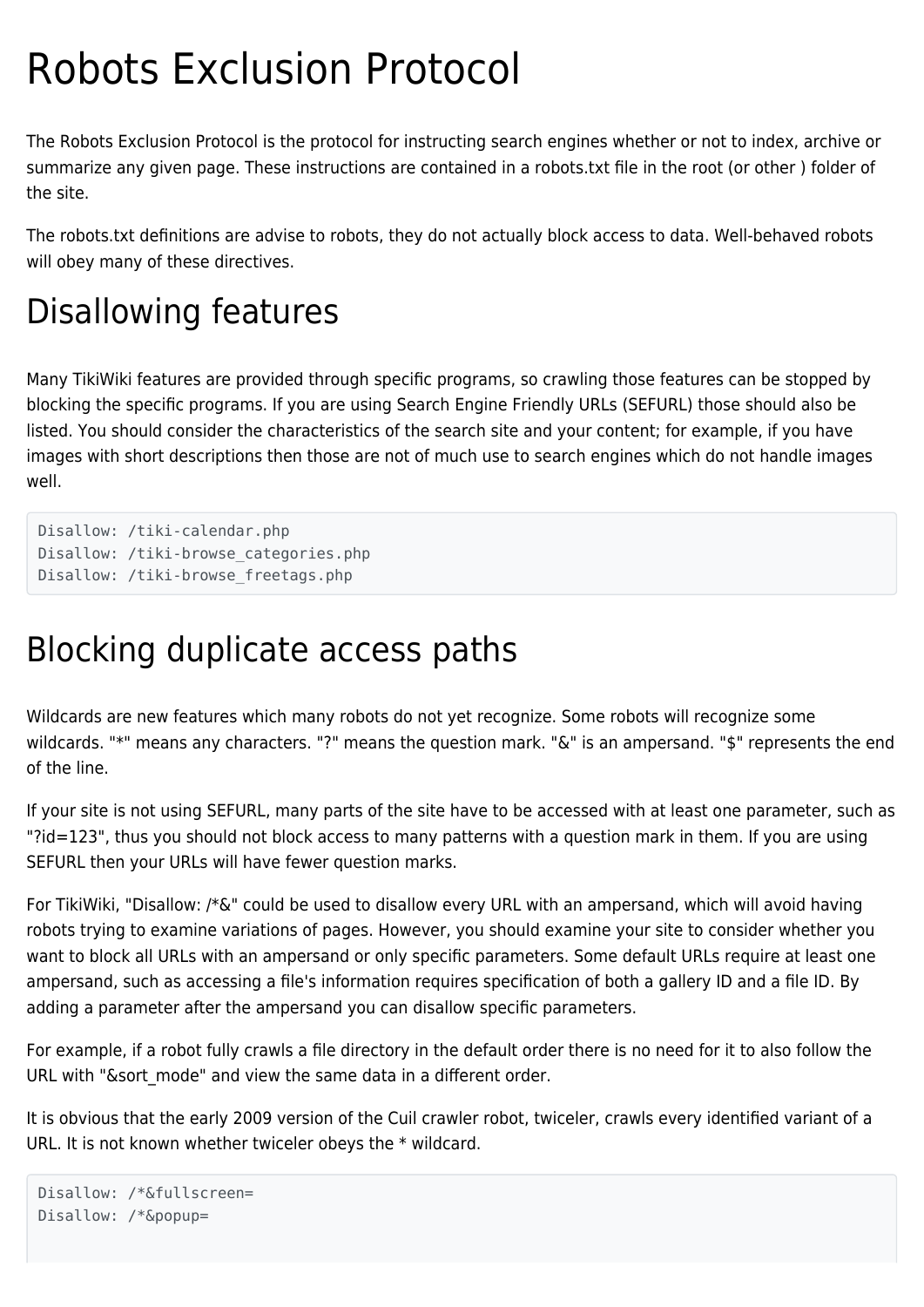# Robots Exclusion Protocol

The Robots Exclusion Protocol is the protocol for instructing search engines whether or not to index, archive or summarize any given page. These instructions are contained in a robots.txt file in the root (or other ) folder of the site.

The robots.txt definitions are advise to robots, they do not actually block access to data. Well-behaved robots will obey many of these directives.

# Disallowing features

Many TikiWiki features are provided through specific programs, so crawling those features can be stopped by blocking the specific programs. If you are using Search Engine Friendly URLs (SEFURL) those should also be listed. You should consider the characteristics of the search site and your content; for example, if you have images with short descriptions then those are not of much use to search engines which do not handle images well.

Disallow: /tiki-calendar.php Disallow: /tiki-browse categories.php Disallow: /tiki-browse\_freetags.php

# Blocking duplicate access paths

Wildcards are new features which many robots do not yet recognize. Some robots will recognize some wildcards. "\*" means any characters. "?" means the question mark. "&" is an ampersand. "\$" represents the end of the line.

If your site is not using SEFURL, many parts of the site have to be accessed with at least one parameter, such as "?id=123", thus you should not block access to many patterns with a question mark in them. If you are using SEFURL then your URLs will have fewer question marks.

For TikiWiki, "Disallow: /\*&" could be used to disallow every URL with an ampersand, which will avoid having robots trying to examine variations of pages. However, you should examine your site to consider whether you want to block all URLs with an ampersand or only specific parameters. Some default URLs require at least one ampersand, such as accessing a file's information requires specification of both a gallery ID and a file ID. By adding a parameter after the ampersand you can disallow specific parameters.

For example, if a robot fully crawls a file directory in the default order there is no need for it to also follow the URL with "&sort mode" and view the same data in a different order.

It is obvious that the early 2009 version of the Cuil crawler robot, twiceler, crawls every identified variant of a URL. It is not known whether twiceler obeys the \* wildcard.

```
Disallow: /*&fullscreen=
Disallow: /*&popup=
```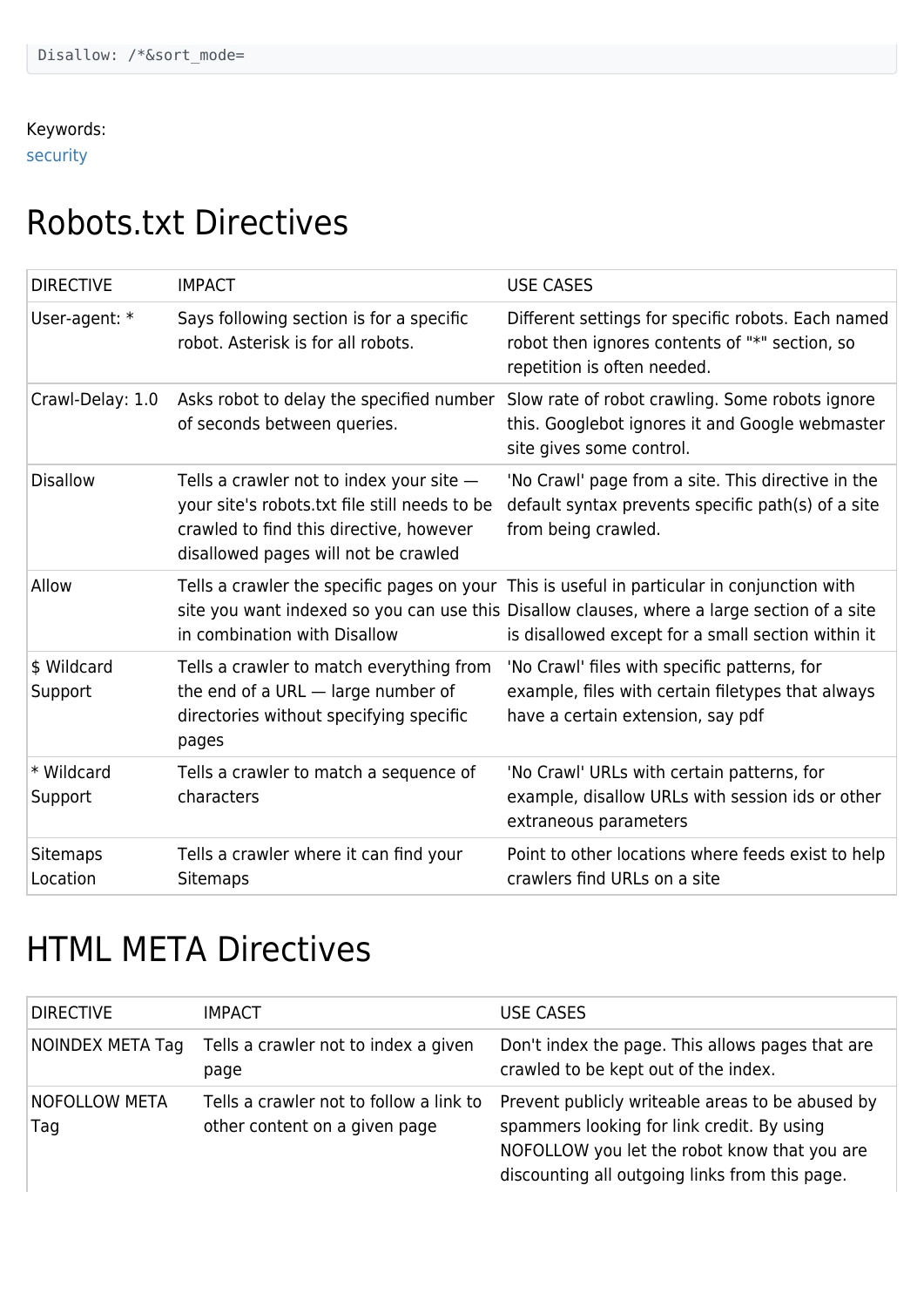#### Keywords:

[security](https://doc.tiki.org/Security)

### Robots.txt Directives

| <b>DIRECTIVE</b>            | <b>IMPACT</b>                                                                                                                                                                  | <b>USE CASES</b>                                                                                                                                                                                                                                 |
|-----------------------------|--------------------------------------------------------------------------------------------------------------------------------------------------------------------------------|--------------------------------------------------------------------------------------------------------------------------------------------------------------------------------------------------------------------------------------------------|
| User-agent: *               | Says following section is for a specific<br>robot. Asterisk is for all robots.                                                                                                 | Different settings for specific robots. Each named<br>robot then ignores contents of "*" section, so<br>repetition is often needed.                                                                                                              |
| Crawl-Delay: 1.0            | of seconds between queries.                                                                                                                                                    | Asks robot to delay the specified number Slow rate of robot crawling. Some robots ignore<br>this. Googlebot ignores it and Google webmaster<br>site gives some control.                                                                          |
| <b>Disallow</b>             | Tells a crawler not to index your site $-$<br>your site's robots.txt file still needs to be<br>crawled to find this directive, however<br>disallowed pages will not be crawled | 'No Crawl' page from a site. This directive in the<br>default syntax prevents specific path(s) of a site<br>from being crawled.                                                                                                                  |
| Allow                       | in combination with Disallow                                                                                                                                                   | Tells a crawler the specific pages on your This is useful in particular in conjunction with<br>site you want indexed so you can use this Disallow clauses, where a large section of a site<br>is disallowed except for a small section within it |
| \$ Wildcard<br>Support      | Tells a crawler to match everything from<br>the end of a URL - large number of<br>directories without specifying specific<br>pages                                             | 'No Crawl' files with specific patterns, for<br>example, files with certain filetypes that always<br>have a certain extension, say pdf                                                                                                           |
| * Wildcard<br>Support       | Tells a crawler to match a sequence of<br>characters                                                                                                                           | 'No Crawl' URLs with certain patterns, for<br>example, disallow URLs with session ids or other<br>extraneous parameters                                                                                                                          |
| <b>Sitemaps</b><br>Location | Tells a crawler where it can find your<br><b>Sitemaps</b>                                                                                                                      | Point to other locations where feeds exist to help<br>crawlers find URLs on a site                                                                                                                                                               |

# HTML META Directives

| <b>DIRECTIVE</b>            | <b>IMPACT</b>                                                            | <b>USE CASES</b>                                                                                                                                                                                 |
|-----------------------------|--------------------------------------------------------------------------|--------------------------------------------------------------------------------------------------------------------------------------------------------------------------------------------------|
| NOINDEX META Tag            | Tells a crawler not to index a given<br>page                             | Don't index the page. This allows pages that are<br>crawled to be kept out of the index.                                                                                                         |
| <b>NOFOLLOW META</b><br>Tag | Tells a crawler not to follow a link to<br>other content on a given page | Prevent publicly writeable areas to be abused by<br>spammers looking for link credit. By using<br>NOFOLLOW you let the robot know that you are<br>discounting all outgoing links from this page. |